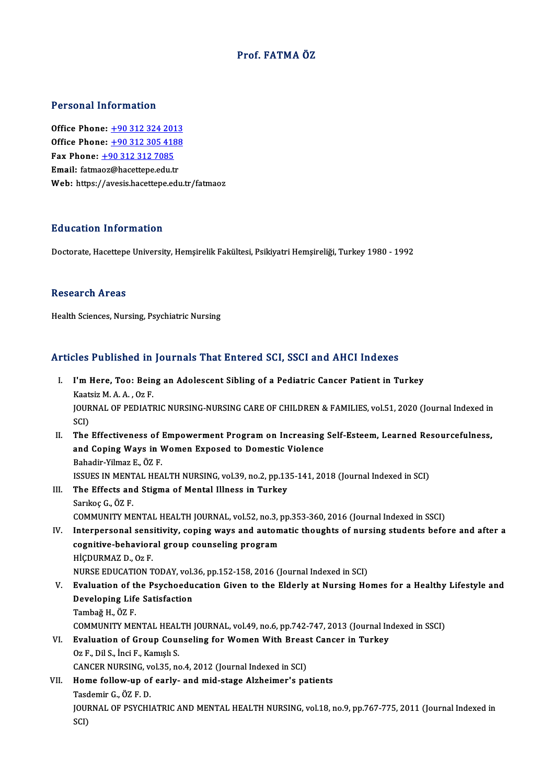# Prof. FATMA ÖZ

## Personal Information

Office Phone: +90 312 324 2013 Office Phone: <u>+90 312 324 2013</u><br>Office Phone: <u>+90 312 305 [4188](tel:+90 312 324 2013)</u><br>Fax Phone: 190 312 312 7095 Office Phone: <u>+90 312 324 201</u><br>Office Phone: <u>+90 312 305 418</u><br>Fax Phone: <u>+90 312 312 7085</u><br>Email: fatmoog@basattane.odu.tr Office Phone: <u>+90 312 305 4185</u><br>Fax Phone: <u>+90 312 312 7085</u><br>Email: fatma[oz@hacet](tel:+90 312 312 7085)t[epe.edu.tr](tel:+90 312 305 4188) Fax Phone:  $\pm$ 90 312 312 7085<br>Email: fatmaoz@hacettepe.edu.tr<br>Web: https://avesis.hacettepe.edu.tr/fatmaoz

## Education Information

Doctorate, Hacettepe University, Hemşirelik Fakültesi, Psikiyatri Hemşireliği, Turkey 1980 - 1992

## Research Areas

Health Sciences, Nursing, Psychiatric Nursing

# Articles Published in Journals That Entered SCI, SSCI and AHCI Indexes

rticles Published in Journals That Entered SCI, SSCI and AHCI Indexes<br>I. I'm Here, Too: Being an Adolescent Sibling of a Pediatric Cancer Patient in Turkey XOO T d'Existrou III<br>I'm Here, Too: Bein<br>Kaatsiz M. A. A. , Oz F.<br>JOUPMAL OF PEDIATI I'm Here, Too: Being an Adolescent Sibling of a Pediatric Cancer Patient in Turkey<br>Kaatsiz M. A. A. , Oz F.<br>JOURNAL OF PEDIATRIC NURSING-NURSING CARE OF CHILDREN & FAMILIES, vol.51, 2020 (Journal Indexed in<br>SCD Kaat<br>JOUR<br>SCI)<br>The JOURNAL OF PEDIATRIC NURSING-NURSING CARE OF CHILDREN & FAMILIES, vol.51, 2020 (Journal Indexed in SCI)<br>SCI)<br>II. The Effectiveness of Empowerment Program on Increasing Self-Esteem, Learned Resourcefulness,<br>and Coning Ways SCI)<br>The Effectiveness of Empowerment Program on Increasing<br>and Coping Ways in Women Exposed to Domestic Violence<br>Rebedir Vilmar E. ÖZ E The Effectiveness of I<br>and Coping Ways in V<br>Bahadir-Yilmaz E., ÖZ F.<br>ISSUES IN MENTAL UEA and Coping Ways in Women Exposed to Domestic Violence<br>Bahadir-Yilmaz E., ÖZ F.<br>ISSUES IN MENTAL HEALTH NURSING, vol.39, no.2, pp.135-141, 2018 (Journal Indexed in SCI) III. The Effects and Stigma of Mental Illness in Turkey SarıkoçG.,ÖZ F. COMMUNITY MENTAL HEALTH JOURNAL, vol.52, no.3, pp.353-360, 2016 (Journal Indexed in SSCI) IV. Interpersonal sensitivity, coping ways and automatic thoughts of nursing students before and after a COMMUNITY MENTAL HEALTH JOURNAL, vol.52, no.3, 1<br>Interpersonal sensitivity, coping ways and autom<br>cognitive-behavioral group counseling program<br>HiCDUPMAZ D. Oz E Interpersonal sens<br>cognitive-behavior<br>HİÇDURMAZ D., Oz F.<br>NURSE EDUCATION T HIÇDURMAZ D., Oz F.<br>NURSE EDUCATION TODAY, vol.36, pp.152-158, 2016 (Journal Indexed in SCI) HİÇDURMAZ D., 0z F.<br>NURSE EDUCATION TODAY, vol.36, pp.152-158, 2016 (Journal Indexed in SCI)<br>V. Evaluation of the Psychoeducation Given to the Elderly at Nursing Homes for a Healthy Lifestyle and<br>Developing Life Satisf NURSE EDUCATION TODAY, vol.:<br>Evaluation of the Psychoedu<br>Developing Life Satisfaction<br>Tambağ H. ÖZ E Evaluation of th<br>Developing Life<br>Tambağ H., ÖZ F.<br>COMMUNITY ME Developing Life Satisfaction<br>Tambağ H., ÖZ F.<br>COMMUNITY MENTAL HEALTH JOURNAL, vol.49, no.6, pp.742-747, 2013 (Journal Indexed in SSCI)<br>Evaluation of Croun Coungeling for Women With Breest Canser in Turkey. Tambağ H., ÖZ F.<br>COMMUNITY MENTAL HEALTH JOURNAL, vol.49, no.6, pp.742-747, 2013 (Journal In<br>VI. Braluation of Group Counseling for Women With Breast Cancer in Turkey<br>Oz E. Dil S. İnci E. Kamıslı S. COMMUNITY MENTAL HEAL<br>Evaluation of Group Coul<br>Oz F., Dil S., İnci F., Kamışlı S.<br>CANGEP NUPSINC .vol 35. ne Evaluation of Group Counseling for Women With Breas<br>Oz F., Dil S., İnci F., Kamışlı S.<br>CANCER NURSING, vol.35, no.4, 2012 (Journal Indexed in SCI)<br>Home follow un of early, and mid stage Alpheimer's no Oz F., Dil S., İnci F., Kamışlı S.<br>CANCER NURSING, vol.35, no.4, 2012 (Journal Indexed in SCI)<br>VII. Home follow-up of early- and mid-stage Alzheimer's patients CANCER NURSING, <sub>V</sub><br>H**ome follow-up of**<br>Tasdemir G., ÖZ F. D.<br>JOUPNAL OF PSYCHI JOURNAL OF PSYCHIATRIC AND MENTAL HEALTH NURSING, vol.18, no.9, pp.767-775, 2011 (Journal Indexed in SCI) Tasdemir G, ÖZ F D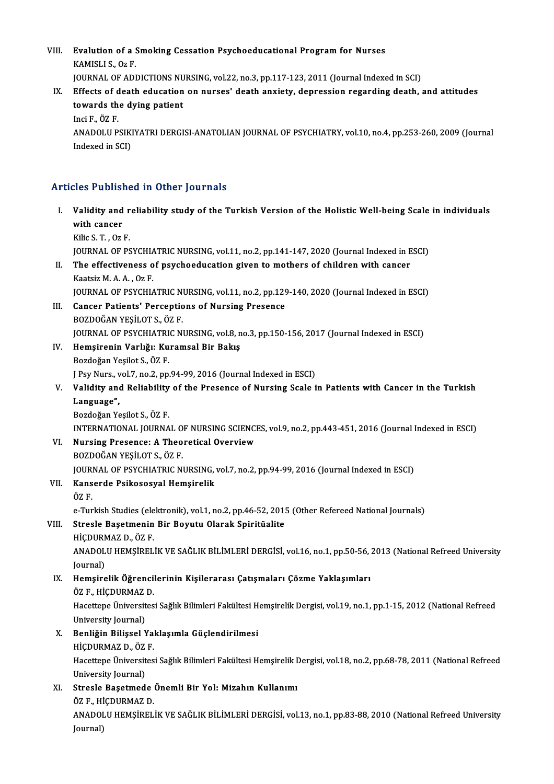VIII. Evalution of a Smoking Cessation Psychoeducational Program for Nurses<br>KAMISLLS, Or E Evalution of a S<br>KAMISLI S., Oz F.<br>JOUPMAL OF ADI KAMISLI S., Oz F.<br>JOURNAL OF ADDICTIONS NURSING, vol.22, no.3, pp.117-123, 2011 (Journal Indexed in SCI)

KAMISLI S., 0z F.<br>JOURNAL OF ADDICTIONS NURSING, vol.22, no.3, pp.117-123, 2011 (Journal Indexed in SCI)<br>IX. Effects of death education on nurses' death anxiety, depression regarding death, and attitudes<br>towards the duing **JOURNAL OF ADDICTIONS NU<br>Effects of death education<br>towards the dying patient**<br>Ingi E. ÖZ E. Effects of d<br>towards th<br>Inci F., ÖZ F.<br>ANADOUU P. towards the dying patient<br>Inci F., ÖZ F.<br>ANADOLU PSIKIYATRI DERGISI-ANATOLIAN JOURNAL OF PSYCHIATRY, vol.10, no.4, pp.253-260, 2009 (Journal Inci F., ÖZ F.<br>ANADOLU PSIKI<br>Indexed in SCI) Articles Published in Other Journals

I. Validity and reliability study of the Turkish Version of the HolisticWel -being Scale in individuals Exect a chief<br>Validity and<br>with cancer<br><sup>Kilis S.T.</sup> Oz **Validity and r<br>with cancer<br>Kilic S. T. , Oz F.<br>JOUPMAL OF PS** with cancer<br>Kilic S. T. , Oz F.<br>JOURNAL OF PSYCHIATRIC NURSING, vol.11, no.2, pp.141-147, 2020 (Journal Indexed in ESCI) Kilic S. T. , Oz F.<br>JOURNAL OF PSYCHIATRIC NURSING, vol.11, no.2, pp.141-147, 2020 (Journal Indexed in E<br>II. The effectiveness of psychoeducation given to mothers of children with cancer<br>Kastair M.A.A. Or F. **JOURNAL OF PSYCHIA<br>The effectiveness o<br>Kaatsiz M. A. A. , Oz F.<br>JOUPNAL OF PSYCHIA** The effectiveness of psychoeducation given to mothers of children with cancer<br>Kaatsiz M. A. A. , Oz F.<br>JOURNAL OF PSYCHIATRIC NURSING, vol.11, no.2, pp.129-140, 2020 (Journal Indexed in ESCI)<br>Cancer Petients' Persentions o Kaatsiz M. A. A. , Oz F.<br>JOURNAL OF PSYCHIATRIC NURSING, vol.11, no.2, pp.129<br>III. Cancer Patients' Perceptions of Nursing Presence<br>BOZDOĞAN YEŞİLOT S., ÖZ F. JOURNAL OF PSYCHIATRIC N<br>Cancer Patients' Perceptio<br>BOZDOĞAN YEŞİLOT S., ÖZ F.<br>JOUPNAL OF PSYCHIATPIC NI Cancer Patients' Perceptions of Nursing Presence<br>BOZDOĞAN YEŞİLOT S., ÖZ F.<br>JOURNAL OF PSYCHIATRIC NURSING, vol.8, no.3, pp.150-156, 2017 (Journal Indexed in ESCI)<br>Homsironin Varkğu Kuromsal Bir Bakıs IV. Hemşirenin Varlığı: Kuramsal Bir Bakış JOURNAL OF PSYCHIATRI<br>Hemşirenin Varlığı: Ku<br>Bozdoğan Yeşilot S., ÖZ F.<br>LBey Nurs, vol 7, no 2, nn JPsyNurs.,vol.7,no.2,pp.94-99,2016 (Journal Indexed inESCI) Bozdoğan Yeşilot S., ÖZ F.<br>J Psy Nurs., vol.7, no.2, pp.94-99, 2016 (Journal Indexed in ESCI)<br>V. Validity and Reliability of the Presence of Nursing Scale in Patients with Cancer in the Turkish<br>Language" J Psy Nurs., v<br><mark>Validity an</mark><br>Language",<br><sup>Pordočon V</sup> Validity and Reliability<br>Language",<br>Bozdoğan Yeşilot S., ÖZ F.<br>INTERMATIONAL JOURNA Language",<br>Bozdoğan Yeşilot S., ÖZ F.<br>INTERNATIONAL JOURNAL OF NURSING SCIENCES, vol.9, no.2, pp.443-451, 2016 (Journal Indexed in ESCI) Bozdoğan Yeşilot S., ÖZ F.<br>INTERNATIONAL JOURNAL OF NURSING SCIENCI<br>VI. Nursing Presence: A Theoretical Overview<br>POZDOČAN VESU OT S. ÖZ F. INTERNATIONAL JOURNAL O<br><mark>Nursing Presence: A Theo</mark><br>BOZDOĞAN YEŞİLOT S., ÖZ F.<br>JOUPNAL OF PSYCHIATPIC NI BOZDOĞAN YEŞİLOT S., ÖZ F.<br>JOURNAL OF PSYCHIATRIC NURSING, vol.7, no.2, pp.94-99, 2016 (Journal Indexed in ESCI) VII. Kanserde Psikososyal Hemşirelik ÖZ F. e-Turkish Studies (elektronik), vol.1, no.2, pp.46-52, 2015 (Other Refereed National Journals) ÖZ F.<br>2011 e-Turkish Studies (elektronik), vol.1, no.2, pp.46-52, 201<br>2011 VIII. Stresle Başetmenin Bir Boyutu Olarak Spiritüalite<br>2011 ulchupMAZ D. ÖZ F e-Turkish Studies (ele<br>Stresle Başetmenin<br>HİÇDURMAZ D., ÖZ F.<br>ANADOLU HEMSİPEL ANADOLU HEMŞİRELİK VE SAĞLIK BİLİMLERİ DERGİSİ, vol.16, no.1, pp.50-56, 2013 (National Refreed University<br>Journal) HİÇDURMAZ D., ÖZ F. ANADOLU HEMŞİRELİK VE SAĞLIK BİLİMLERİ DERGİSİ, vol.16, no.1, pp.50-56, :<br>Journal)<br>IX. Hemşirelik Öğrencilerinin Kişilerarası Çatışmaları Çözme Yaklaşımları<br>ÖZE HİCDUPMAZ D Journal)<br><mark>Hemşirelik Öğrenci</mark>l<br>ÖZ F., HİÇDURMAZ D.<br>Hacettana Üniversites Hemşirelik Öğrencilerinin Kişilerarası Çatışmaları Çözme Yaklaşımları<br>ÖZ F., HİÇDURMAZ D.<br>Hacettepe Üniversitesi Sağlık Bilimleri Fakültesi Hemşirelik Dergisi, vol.19, no.1, pp.1-15, 2012 (National Refreed ÖZ F., HİÇDURMAZ<br>Hacettepe Üniversit<br>University Journal)<br>Popliğin Bilissel V X. Benliğin Bilişsel Yaklaşımla Güçlendirilmesi University Journal)<br>Benliğin Bilişsel Yal<br>HİÇDURMAZ D., ÖZ F.<br>Hacettana Üniversites Hacettepe Üniversitesi Sağlık Bilimleri Fakültesi Hemşirelik Dergisi, vol.18, no.2, pp.68-78, 2011 (National Refreed<br>University Journal) HİÇDURMAZ D., ÖZ<br>Hacettepe Üniversit<br>University Journal)<br>Straala Bacetmad Hacettepe Üniversitesi Sağlık Bilimleri Fakültesi Hemşirelik I<br>University Journal)<br>XI. Stresle Başetmede Önemli Bir Yol: Mizahın Kullanımı<br>ÖZE HİCPUPMAZ D University Journal)<br>Stresle Başetmede<br>ÖZ F., HİÇDURMAZ D.<br>ANADOLU UEMSİPEL Stresle Başetmede Önemli Bir Yol: Mizahın Kullanımı<br>ÖZ F., HİÇDURMAZ D.<br>ANADOLU HEMŞİRELİK VE SAĞLIK BİLİMLERİ DERGİSİ, vol.13, no.1, pp.83-88, 2010 (National Refreed University ÖZ F., Hİ<br>ANADOI<br>Journal)